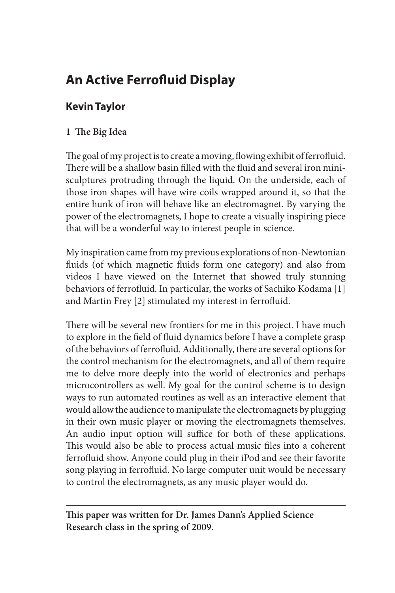# **An Active Ferrofluid Display**

# **Kevin Taylor**

# **1 The Big Idea**

The goal of my project is to create a moving, flowing exhibit of ferrofluid. There will be a shallow basin filled with the fluid and several iron minisculptures protruding through the liquid. On the underside, each of those iron shapes will have wire coils wrapped around it, so that the entire hunk of iron will behave like an electromagnet. By varying the power of the electromagnets, I hope to create a visually inspiring piece that will be a wonderful way to interest people in science.

My inspiration came from my previous explorations of non-Newtonian fluids (of which magnetic fluids form one category) and also from videos I have viewed on the Internet that showed truly stunning behaviors of ferrofluid. In particular, the works of Sachiko Kodama [1] and Martin Frey [2] stimulated my interest in ferrofluid.

There will be several new frontiers for me in this project. I have much to explore in the field of fluid dynamics before I have a complete grasp of the behaviors of ferrofluid. Additionally, there are several options for the control mechanism for the electromagnets, and all of them require me to delve more deeply into the world of electronics and perhaps microcontrollers as well. My goal for the control scheme is to design ways to run automated routines as well as an interactive element that would allow the audience to manipulate the electromagnets by plugging in their own music player or moving the electromagnets themselves. An audio input option will suffice for both of these applications. This would also be able to process actual music files into a coherent ferrofluid show. Anyone could plug in their iPod and see their favorite song playing in ferrofluid. No large computer unit would be necessary to control the electromagnets, as any music player would do.

**This paper was written for Dr. James Dann's Applied Science Research class in the spring of 2009.**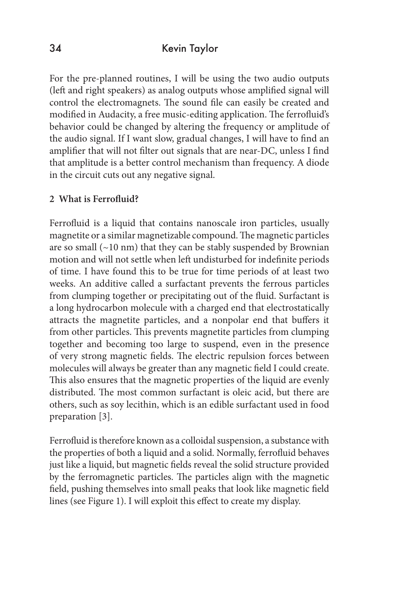For the pre-planned routines, I will be using the two audio outputs (left and right speakers) as analog outputs whose amplified signal will control the electromagnets. The sound file can easily be created and modified in Audacity, a free music-editing application. The ferrofluid's behavior could be changed by altering the frequency or amplitude of the audio signal. If I want slow, gradual changes, I will have to find an amplifier that will not filter out signals that are near-DC, unless I find that amplitude is a better control mechanism than frequency. A diode in the circuit cuts out any negative signal.

#### **2 What is Ferrofluid?**

Ferrofluid is a liquid that contains nanoscale iron particles, usually magnetite or a similar magnetizable compound. The magnetic particles are so small  $(\sim10 \text{ nm})$  that they can be stably suspended by Brownian motion and will not settle when left undisturbed for indefinite periods of time. I have found this to be true for time periods of at least two weeks. An additive called a surfactant prevents the ferrous particles from clumping together or precipitating out of the fluid. Surfactant is a long hydrocarbon molecule with a charged end that electrostatically attracts the magnetite particles, and a nonpolar end that buffers it from other particles. This prevents magnetite particles from clumping together and becoming too large to suspend, even in the presence of very strong magnetic fields. The electric repulsion forces between molecules will always be greater than any magnetic field I could create. This also ensures that the magnetic properties of the liquid are evenly distributed. The most common surfactant is oleic acid, but there are others, such as soy lecithin, which is an edible surfactant used in food preparation [3].

Ferrofluid is therefore known as a colloidal suspension, a substance with the properties of both a liquid and a solid. Normally, ferrofluid behaves just like a liquid, but magnetic fields reveal the solid structure provided by the ferromagnetic particles. The particles align with the magnetic field, pushing themselves into small peaks that look like magnetic field lines (see Figure 1). I will exploit this effect to create my display.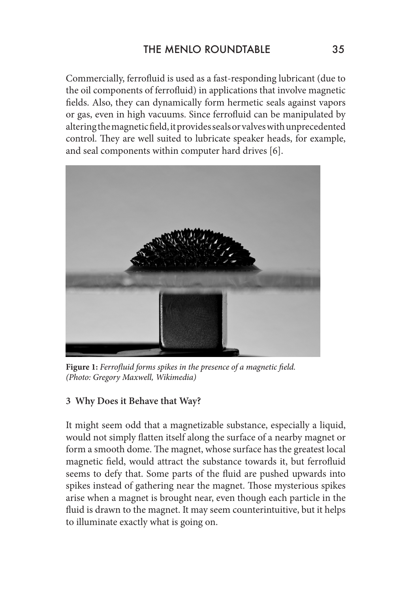Commercially, ferrofluid is used as a fast-responding lubricant (due to the oil components of ferrofluid) in applications that involve magnetic fields. Also, they can dynamically form hermetic seals against vapors or gas, even in high vacuums. Since ferrofluid can be manipulated by altering the magnetic field, it provides seals or valves with unprecedented control. They are well suited to lubricate speaker heads, for example, and seal components within computer hard drives [6].



**Figure 1:** *Ferrofluid forms spikes in the presence of a magnetic field. (Photo: Gregory Maxwell, Wikimedia)*

## **3 Why Does it Behave that Way?**

It might seem odd that a magnetizable substance, especially a liquid, would not simply flatten itself along the surface of a nearby magnet or form a smooth dome. The magnet, whose surface has the greatest local magnetic field, would attract the substance towards it, but ferrofluid seems to defy that. Some parts of the fluid are pushed upwards into spikes instead of gathering near the magnet. Those mysterious spikes arise when a magnet is brought near, even though each particle in the fluid is drawn to the magnet. It may seem counterintuitive, but it helps to illuminate exactly what is going on.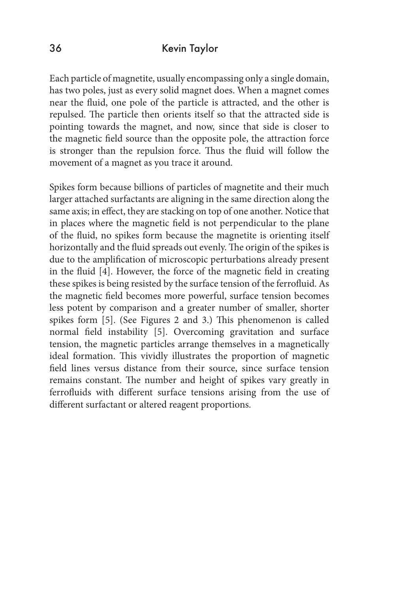Each particle of magnetite, usually encompassing only a single domain, has two poles, just as every solid magnet does. When a magnet comes near the fluid, one pole of the particle is attracted, and the other is repulsed. The particle then orients itself so that the attracted side is pointing towards the magnet, and now, since that side is closer to the magnetic field source than the opposite pole, the attraction force is stronger than the repulsion force. Thus the fluid will follow the movement of a magnet as you trace it around.

Spikes form because billions of particles of magnetite and their much larger attached surfactants are aligning in the same direction along the same axis; in effect, they are stacking on top of one another. Notice that in places where the magnetic field is not perpendicular to the plane of the fluid, no spikes form because the magnetite is orienting itself horizontally and the fluid spreads out evenly. The origin of the spikes is due to the amplification of microscopic perturbations already present in the fluid [4]. However, the force of the magnetic field in creating these spikes is being resisted by the surface tension of the ferrofluid. As the magnetic field becomes more powerful, surface tension becomes less potent by comparison and a greater number of smaller, shorter spikes form [5]. (See Figures 2 and 3.) This phenomenon is called normal field instability [5]. Overcoming gravitation and surface tension, the magnetic particles arrange themselves in a magnetically ideal formation. This vividly illustrates the proportion of magnetic field lines versus distance from their source, since surface tension remains constant. The number and height of spikes vary greatly in ferrofluids with different surface tensions arising from the use of different surfactant or altered reagent proportions.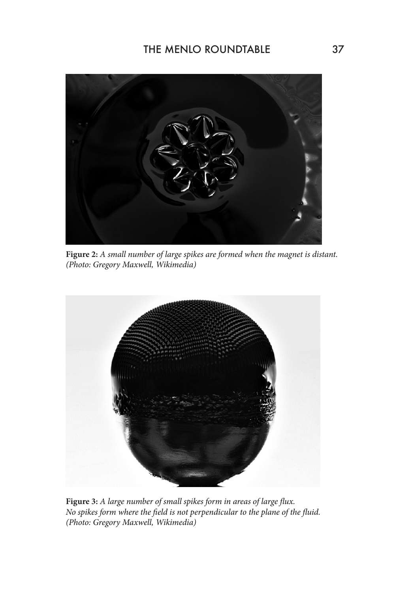

**Figure 2:** *A small number of large spikes are formed when the magnet is distant. (Photo: Gregory Maxwell, Wikimedia)*



**Figure 3:** *A large number of small spikes form in areas of large flux. No spikes form where the field is not perpendicular to the plane of the fluid. (Photo: Gregory Maxwell, Wikimedia)*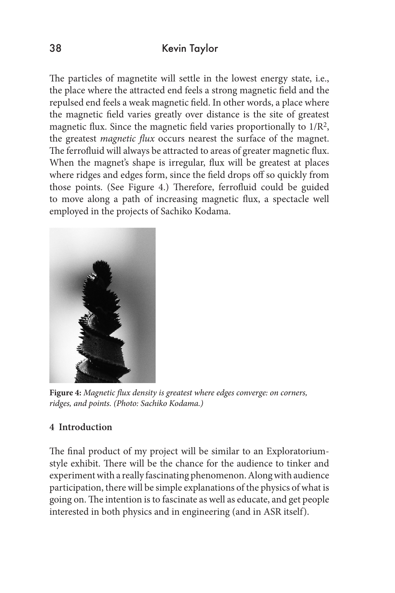The particles of magnetite will settle in the lowest energy state, i.e., the place where the attracted end feels a strong magnetic field and the repulsed end feels a weak magnetic field. In other words, a place where the magnetic field varies greatly over distance is the site of greatest magnetic flux. Since the magnetic field varies proportionally to 1/R2, the greatest *magnetic flux* occurs nearest the surface of the magnet. The ferrofluid will always be attracted to areas of greater magnetic flux. When the magnet's shape is irregular, flux will be greatest at places where ridges and edges form, since the field drops off so quickly from those points. (See Figure 4.) Therefore, ferrofluid could be guided to move along a path of increasing magnetic flux, a spectacle well employed in the projects of Sachiko Kodama.



**Figure 4:** *Magnetic flux density is greatest where edges converge: on corners, ridges, and points. (Photo: Sachiko Kodama.)* 

## **4 Introduction**

The final product of my project will be similar to an Exploratoriumstyle exhibit. There will be the chance for the audience to tinker and experiment with a really fascinating phenomenon. Along with audience participation, there will be simple explanations of the physics of what is going on. The intention is to fascinate as well as educate, and get people interested in both physics and in engineering (and in ASR itself).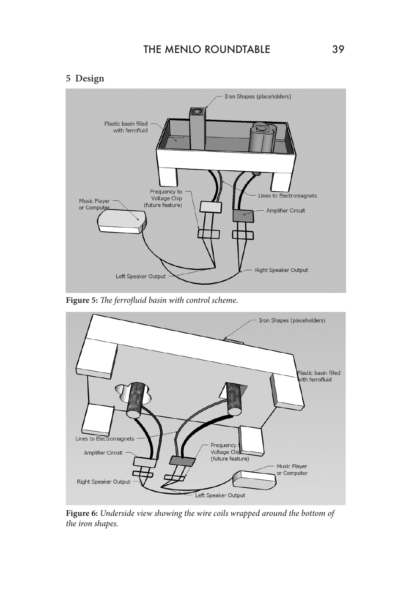## THE MENLO ROUNDTABLE 39

#### **5 Design**



**Figure 5:** *The ferrofluid basin with control scheme.*



**Figure 6:** *Underside view showing the wire coils wrapped around the bottom of the iron shapes.*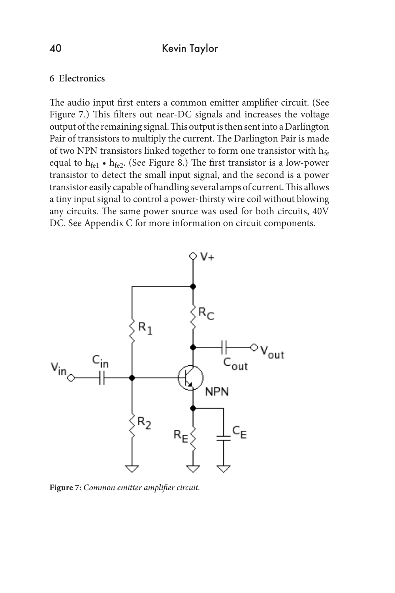#### **6 Electronics**

The audio input first enters a common emitter amplifier circuit. (See Figure 7.) This filters out near-DC signals and increases the voltage output of the remaining signal. This output is then sent into a Darlington Pair of transistors to multiply the current. The Darlington Pair is made of two NPN transistors linked together to form one transistor with  $h_{fe}$ equal to  $h_{\text{fel}} \cdot h_{\text{fe2}}$ . (See Figure 8.) The first transistor is a low-power transistor to detect the small input signal, and the second is a power transistor easily capable of handling several amps of current. This allows a tiny input signal to control a power-thirsty wire coil without blowing any circuits. The same power source was used for both circuits, 40V DC. See Appendix C for more information on circuit components.



**Figure 7:** *Common emitter amplifier circuit.*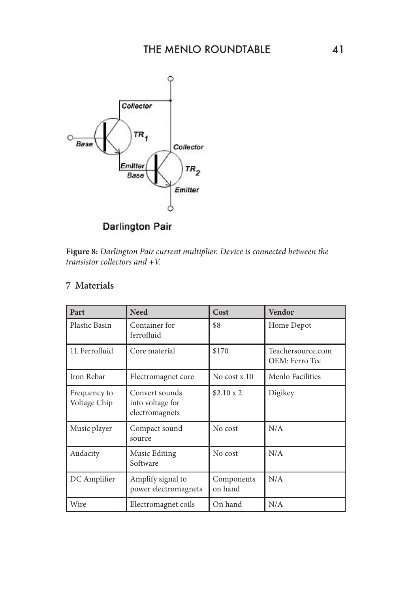

**Darlington Pair** 

**Figure 8:** *Darlington Pair current multiplier. Device is connected between the transistor collectors and +V.*

# **7 Materials**

| Part                         | <b>Need</b>                                          | Cost                  | <b>Vendor</b>                       |  |
|------------------------------|------------------------------------------------------|-----------------------|-------------------------------------|--|
| Plastic Basin                | Container for<br>ferrofluid                          | \$8                   | Home Depot                          |  |
| 1L Ferrofluid                | Core material                                        | \$170                 | Teachersource.com<br>OEM: Ferro Tec |  |
| Iron Rebar                   | Electromagnet core                                   | No cost $x$ 10        | Menlo Facilities                    |  |
| Frequency to<br>Voltage Chip | Convert sounds<br>into voltage for<br>electromagnets | $$2.10 \times 2$      | Digikey                             |  |
| Music player                 | Compact sound<br>source                              | No cost               | N/A                                 |  |
| Audacity                     | Music Editing<br>Software                            | No cost               | N/A                                 |  |
| DC Amplifier                 | Amplify signal to<br>power electromagnets            | Components<br>on hand | N/A                                 |  |
| Wire                         | Electromagnet coils                                  | On hand               | N/A                                 |  |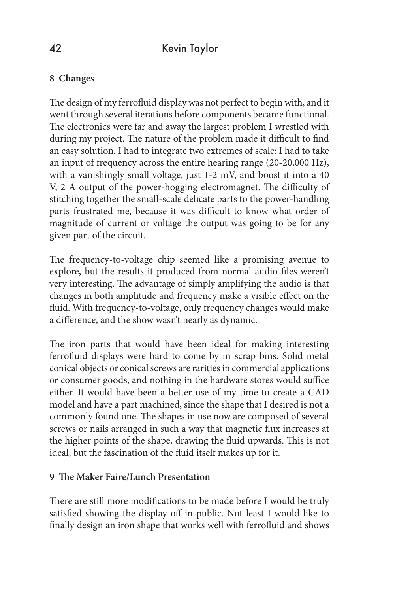# **8 Changes**

The design of my ferrofluid display was not perfect to begin with, and it went through several iterations before components became functional. The electronics were far and away the largest problem I wrestled with during my project. The nature of the problem made it difficult to find an easy solution. I had to integrate two extremes of scale: I had to take an input of frequency across the entire hearing range (20-20,000 Hz), with a vanishingly small voltage, just 1-2 mV, and boost it into a 40 V, 2 A output of the power-hogging electromagnet. The difficulty of stitching together the small-scale delicate parts to the power-handling parts frustrated me, because it was difficult to know what order of magnitude of current or voltage the output was going to be for any given part of the circuit.

The frequency-to-voltage chip seemed like a promising avenue to explore, but the results it produced from normal audio files weren't very interesting. The advantage of simply amplifying the audio is that changes in both amplitude and frequency make a visible effect on the fluid. With frequency-to-voltage, only frequency changes would make a difference, and the show wasn't nearly as dynamic.

The iron parts that would have been ideal for making interesting ferrofluid displays were hard to come by in scrap bins. Solid metal conical objects or conical screws are rarities in commercial applications or consumer goods, and nothing in the hardware stores would suffice either. It would have been a better use of my time to create a CAD model and have a part machined, since the shape that I desired is not a commonly found one. The shapes in use now are composed of several screws or nails arranged in such a way that magnetic flux increases at the higher points of the shape, drawing the fluid upwards. This is not ideal, but the fascination of the fluid itself makes up for it.

## **9 The Maker Faire/Lunch Presentation**

There are still more modifications to be made before I would be truly satisfied showing the display off in public. Not least I would like to finally design an iron shape that works well with ferrofluid and shows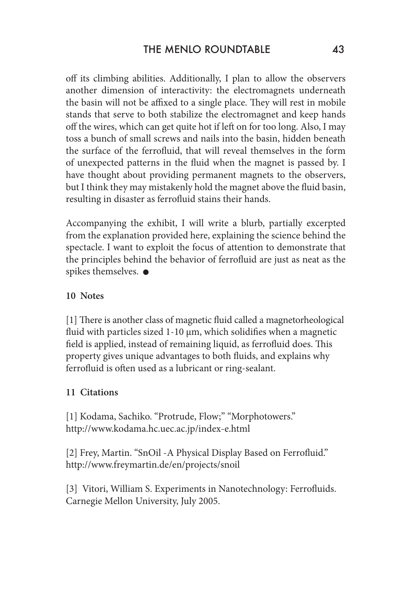off its climbing abilities. Additionally, I plan to allow the observers another dimension of interactivity: the electromagnets underneath the basin will not be affixed to a single place. They will rest in mobile stands that serve to both stabilize the electromagnet and keep hands off the wires, which can get quite hot if left on for too long. Also, I may toss a bunch of small screws and nails into the basin, hidden beneath the surface of the ferrofluid, that will reveal themselves in the form of unexpected patterns in the fluid when the magnet is passed by. I have thought about providing permanent magnets to the observers, but I think they may mistakenly hold the magnet above the fluid basin, resulting in disaster as ferrofluid stains their hands.

Accompanying the exhibit, I will write a blurb, partially excerpted from the explanation provided here, explaining the science behind the spectacle. I want to exploit the focus of attention to demonstrate that the principles behind the behavior of ferrofluid are just as neat as the spikes themselves.  $\bullet$ 

## **10 Notes**

[1] There is another class of magnetic fluid called a magnetorheological fluid with particles sized 1-10 μm, which solidifies when a magnetic field is applied, instead of remaining liquid, as ferrofluid does. This property gives unique advantages to both fluids, and explains why ferrofluid is often used as a lubricant or ring-sealant.

# **11 Citations**

[1] Kodama, Sachiko. "Protrude, Flow;" "Morphotowers." http://www.kodama.hc.uec.ac.jp/index-e.html

[2] Frey, Martin. "SnOil - A Physical Display Based on Ferrofluid." http://www.freymartin.de/en/projects/snoil

[3] Vitori, William S. Experiments in Nanotechnology: Ferrofluids. Carnegie Mellon University, July 2005.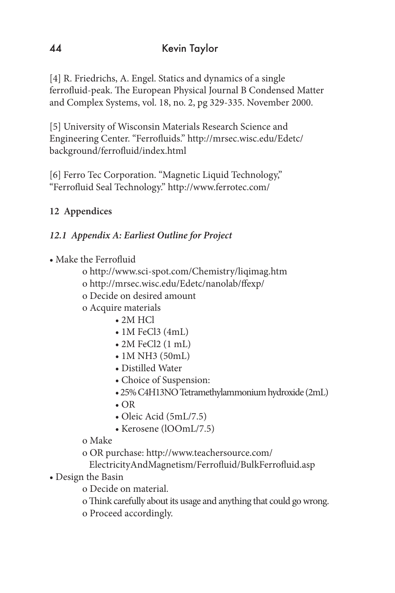[4] R. Friedrichs, A. Engel. Statics and dynamics of a single ferrofluid-peak. The European Physical Journal B Condensed Matter and Complex Systems, vol. 18, no. 2, pg 329-335. November 2000.

[5] University of Wisconsin Materials Research Science and Engineering Center. "Ferrofluids." http://mrsec.wisc.edu/Edetc/ background/ferrofluid/index.html

[6] Ferro Tec Corporation. "Magnetic Liquid Technology," "Ferrofluid Seal Technology." http://www.ferrotec.com/

# **12 Appendices**

# *12.1 Appendix A: Earliest Outline for Project*

- Make the Ferrofluid
	- o http://www.sci-spot.com/Chemistry/liqimag.htm
	- o http://mrsec.wisc.edu/Edetc/nanolab/ffexp/
	- o Decide on desired amount
	- o Acquire materials
		- 2M HCl
		- 1M FeCl3 (4mL)
		- 2M FeCl2 (1 mL)
		- 1M NH3 (50mL)
		- Distilled Water
		- Choice of Suspension:
		- 25% C4H13NO Tetramethylammonium hydroxide (2mL)
		- OR
		- Oleic Acid (5mL/7.5)
		- Kerosene (lOOmL/7.5)
	- o Make
	- o OR purchase: http://www.teachersource.com/
	- ElectricityAndMagnetism/Ferrofluid/BulkFerrofluid.asp
- Design the Basin
	- o Decide on material.
	- o Think carefully about its usage and anything that could go wrong.
	- o Proceed accordingly.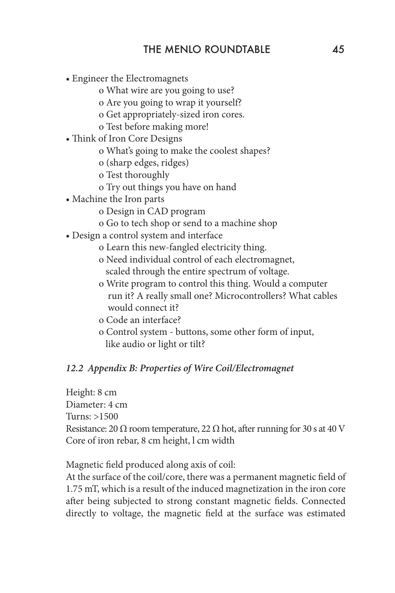- Engineer the Electromagnets
	- o What wire are you going to use?
	- o Are you going to wrap it yourself?
	- o Get appropriately-sized iron cores.
	- o Test before making more!
- Think of Iron Core Designs
	- o What's going to make the coolest shapes?
	- o (sharp edges, ridges)
	- o Test thoroughly
	- o Try out things you have on hand
- Machine the Iron parts
	- o Design in CAD program
	- o Go to tech shop or send to a machine shop
- Design a control system and interface
	- o Learn this new-fangled electricity thing.
	- o Need individual control of each electromagnet, scaled through the entire spectrum of voltage.
	- o Write program to control this thing. Would a computer run it? A really small one? Microcontrollers? What cables would connect it?
	- o Code an interface?
	- o Control system buttons, some other form of input, like audio or light or tilt?

#### *12.2 Appendix B: Properties of Wire Coil/Electromagnet*

Height: 8 cm Diameter: 4 cm Turns: >1500 Resistance: 20  $\Omega$  room temperature, 22  $\Omega$  hot, after running for 30 s at 40 V Core of iron rebar, 8 cm height, l cm width

Magnetic field produced along axis of coil:

At the surface of the coil/core, there was a permanent magnetic field of 1.75 mT, which is a result of the induced magnetization in the iron core after being subjected to strong constant magnetic fields. Connected directly to voltage, the magnetic field at the surface was estimated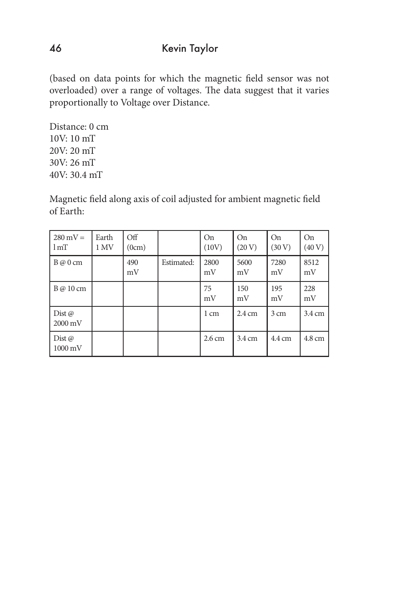(based on data points for which the magnetic field sensor was not overloaded) over a range of voltages. The data suggest that it varies proportionally to Voltage over Distance.

Distance: 0 cm 10V: 10 mT 20V: 20 mT 30V: 26 mT 40V: 30.4 mT

Magnetic field along axis of coil adjusted for ambient magnetic field of Earth:

| $280 \text{ mV} =$<br>1 <sub>mT</sub>  | Earth<br>1 MV | Off<br>(0cm) |            | <b>On</b><br>(10V) | <b>On</b><br>(20 V) | <b>On</b><br>(30 V) | On<br>(40 V)     |
|----------------------------------------|---------------|--------------|------------|--------------------|---------------------|---------------------|------------------|
| $B \varpi 0$ cm                        |               | 490<br>mV    | Estimated: | 2800<br>mV         | 5600<br>mV          | 7280<br>mV          | 8512<br>mV       |
| $B \varpi 10 \, \mathrm{cm}$           |               |              |            | 75<br>mV           | 150<br>mV           | 195<br>mV           | 228<br>mV        |
| Dist $\omega$<br>$12000 \,\mathrm{mV}$ |               |              |            | 1 cm               | $2.4 \text{ cm}$    | 3 cm                | $3.4 \text{ cm}$ |
| Dist $\varpi$<br>$1000 \,\mathrm{mV}$  |               |              |            | $2.6 \text{ cm}$   | $3.4 \text{ cm}$    | 4.4 cm              | 4.8 cm           |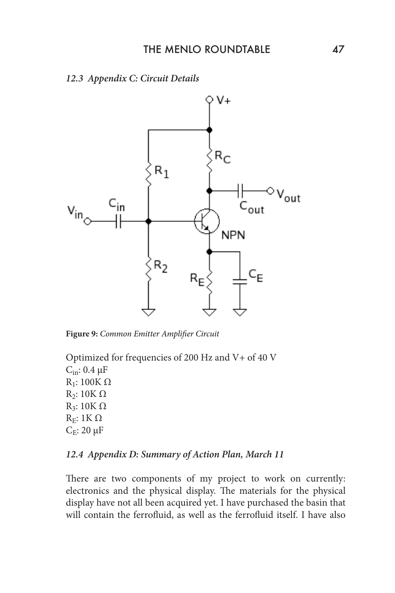#### *12.3 Appendix C: Circuit Details*



**Figure 9:** *Common Emitter Amplifier Circuit* 

Optimized for frequencies of 200 Hz and V+ of 40 V  $C_{\text{in}}$ : 0.4  $\mu$ F R<sub>1</sub>: 100K Ω R<sub>2</sub>: 10K Ω R3: 10K Ω R<sub>E</sub>: 1ΚΩ  $C_E$ : 20  $\mu$ F

#### *12.4 Appendix D: Summary of Action Plan, March 11*

There are two components of my project to work on currently: electronics and the physical display. The materials for the physical display have not all been acquired yet. I have purchased the basin that will contain the ferrofluid, as well as the ferrofluid itself. I have also